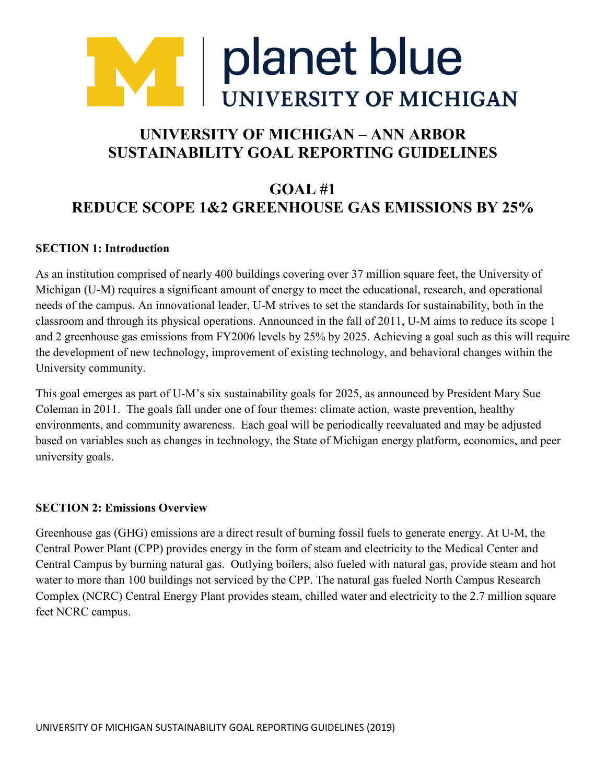

# **UNIVERSITY OF MICHIGAN – ANN ARBOR SUSTAINABILITY GOAL REPORTING GUIDELINES**

# **GOAL #1 REDUCE SCOPE 1&2 GREENHOUSE GAS EMISSIONS BY 25%**

#### **SECTION 1: Introduction**

As an institution comprised of nearly 400 buildings covering over 37 million square feet, the University of Michigan (U-M) requires a significant amount of energy to meet the educational, research, and operational needs of the campus. An innovational leader, U-M strives to set the standards for sustainability, both in the classroom and through its physical operations. Announced in the fall of 2011, U-M aims to reduce its scope 1 and 2 greenhouse gas emissions from FY2006 levels by 25% by 2025. Achieving a goal such as this will require the development of new technology, improvement of existing technology, and behavioral changes within the University community.

This goal emerges as part of U-M's six sustainability goals for 2025, as announced by President Mary Sue Coleman in 2011. The goals fall under one of four themes: climate action, waste prevention, healthy environments, and community awareness. Each goal will be periodically reevaluated and may be adjusted based on variables such as changes in technology, the State of Michigan energy platform, economics, and peer university goals.

#### **SECTION 2: Emissions Overview**

Greenhouse gas (GHG) emissions are a direct result of burning fossil fuels to generate energy. At U-M, the Central Power Plant (CPP) provides energy in the form of steam and electricity to the Medical Center and Central Campus by burning natural gas. Outlying boilers, also fueled with natural gas, provide steam and hot water to more than 100 buildings not serviced by the CPP. The natural gas fueled North Campus Research Complex (NCRC) Central Energy Plant provides steam, chilled water and electricity to the 2.7 million square feet NCRC campus.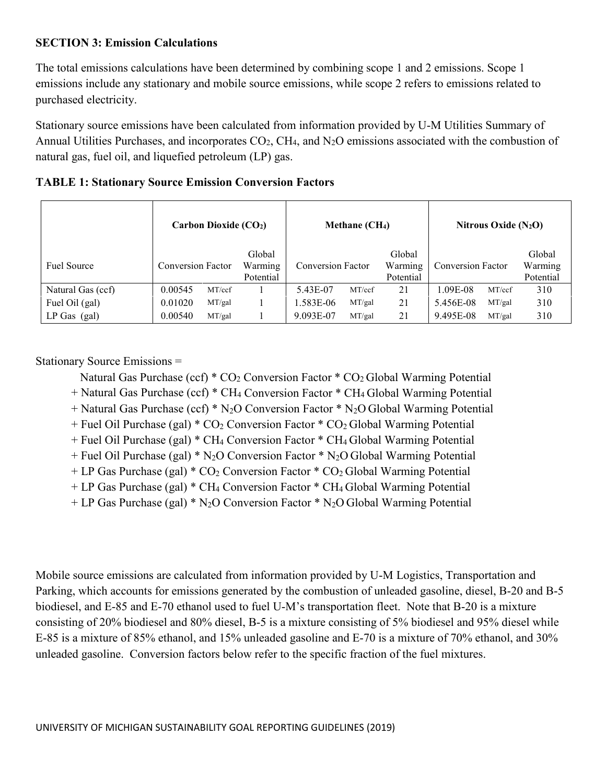### **SECTION 3: Emission Calculations**

The total emissions calculations have been determined by combining scope 1 and 2 emissions. Scope 1 emissions include any stationary and mobile source emissions, while scope 2 refers to emissions related to purchased electricity.

Stationary source emissions have been calculated from information provided by U-M Utilities Summary of Annual Utilities Purchases, and incorporates  $CO<sub>2</sub>$ , CH<sub>4</sub>, and N<sub>2</sub>O emissions associated with the combustion of natural gas, fuel oil, and liquefied petroleum (LP) gas.

|                    | Carbon Dioxide $(CO2)$ |        |                                | Methane (CH <sub>4</sub> ) |        |                                | Nitrous Oxide $(N_2O)$ |        |                                |
|--------------------|------------------------|--------|--------------------------------|----------------------------|--------|--------------------------------|------------------------|--------|--------------------------------|
| <b>Fuel Source</b> | Conversion Factor      |        | Global<br>Warming<br>Potential | <b>Conversion Factor</b>   |        | Global<br>Warming<br>Potential | Conversion Factor      |        | Global<br>Warming<br>Potential |
| Natural Gas (ccf)  | 0.00545                | MT/ccf |                                | 5.43E-07                   | MT/ccf | 21                             | 1.09E-08               | MT/ccf | 310                            |
| Fuel Oil (gal)     | 0.01020                | MT/gal |                                | 1.583E-06                  | MT/gal | 21                             | 5.456E-08              | MT/gal | 310                            |
| $LP$ Gas (gal)     | 0.00540                | MT/gal |                                | 9.093E-07                  | MT/gal | 21                             | 9.495E-08              | MT/gal | 310                            |

|  |  |  |  | <b>TABLE 1: Stationary Source Emission Conversion Factors</b> |  |
|--|--|--|--|---------------------------------------------------------------|--|
|--|--|--|--|---------------------------------------------------------------|--|

Stationary Source Emissions =

Natural Gas Purchase (ccf)  $*$  CO<sub>2</sub> Conversion Factor  $*$  CO<sub>2</sub> Global Warming Potential

+ Natural Gas Purchase (ccf) \* CH4 Conversion Factor \* CH4 Global Warming Potential

+ Natural Gas Purchase (ccf) \* N2O Conversion Factor \* N2O Global Warming Potential

 $+$  Fuel Oil Purchase (gal)  $*$  CO<sub>2</sub> Conversion Factor  $*$  CO<sub>2</sub> Global Warming Potential

+ Fuel Oil Purchase (gal) \* CH4 Conversion Factor \* CH4 Global Warming Potential

 $+$  Fuel Oil Purchase (gal) \* N<sub>2</sub>O Conversion Factor \* N<sub>2</sub>O Global Warming Potential

 $+ LP$  Gas Purchase (gal)  $* CO<sub>2</sub>$  Conversion Factor  $* CO<sub>2</sub>$  Global Warming Potential

+ LP Gas Purchase (gal) \* CH4 Conversion Factor \* CH4 Global Warming Potential

+ LP Gas Purchase (gal) \* N2O Conversion Factor \* N2O Global Warming Potential

Mobile source emissions are calculated from information provided by U-M Logistics, Transportation and Parking, which accounts for emissions generated by the combustion of unleaded gasoline, diesel, B-20 and B-5 biodiesel, and E-85 and E-70 ethanol used to fuel U-M's transportation fleet. Note that B-20 is a mixture consisting of 20% biodiesel and 80% diesel, B-5 is a mixture consisting of 5% biodiesel and 95% diesel while E-85 is a mixture of 85% ethanol, and 15% unleaded gasoline and E-70 is a mixture of 70% ethanol, and 30% unleaded gasoline. Conversion factors below refer to the specific fraction of the fuel mixtures.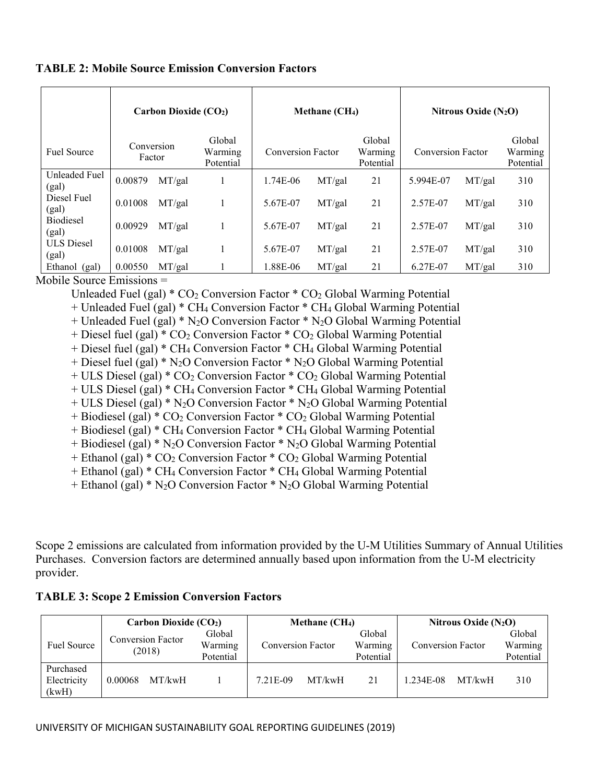|                            | Carbon Dioxide (CO2) |        |                                |                          | Methane (CH <sub>4</sub> ) |                                | Nitrous Oxide $(N_2O)$   |        |                                |
|----------------------------|----------------------|--------|--------------------------------|--------------------------|----------------------------|--------------------------------|--------------------------|--------|--------------------------------|
| <b>Fuel Source</b>         | Conversion<br>Factor |        | Global<br>Warming<br>Potential | <b>Conversion Factor</b> |                            | Global<br>Warming<br>Potential | <b>Conversion Factor</b> |        | Global<br>Warming<br>Potential |
| Unleaded Fuel<br>(gal)     | 0.00879              | MT/gal |                                | 1.74E-06                 | MT/gal                     | 21                             | 5.994E-07                | MT/gal | 310                            |
| Diesel Fuel<br>(gal)       | 0.01008              | MT/gal |                                | 5.67E-07                 | MT/gal                     | 21                             | 2.57E-07                 | MT/gal | 310                            |
| <b>Biodiesel</b><br>(gal)  | 0.00929              | MT/gal | $\mathbf{I}$                   | 5.67E-07                 | MT/gal                     | 21                             | 2.57E-07                 | MT/gal | 310                            |
| <b>ULS Diesel</b><br>(gal) | 0.01008              | MT/gal |                                | 5.67E-07                 | MT/gal                     | 21                             | 2.57E-07                 | MT/gal | 310                            |
| Ethanol (gal)              | 0.00550              | MT/gal |                                | 1.88E-06                 | MT/gal                     | 21                             | 6.27E-07                 | MT/gal | 310                            |

### **TABLE 2: Mobile Source Emission Conversion Factors**

Mobile Source Emissions =

Unleaded Fuel (gal)  $*$  CO<sub>2</sub> Conversion Factor  $*$  CO<sub>2</sub> Global Warming Potential

+ Unleaded Fuel (gal) \* CH4 Conversion Factor \* CH4 Global Warming Potential

+ Unleaded Fuel (gal) \* N2O Conversion Factor \* N2O Global Warming Potential

+ Diesel fuel (gal) \* CO2 Conversion Factor \* CO2 Global Warming Potential

+ Diesel fuel (gal) \* CH4 Conversion Factor \* CH4 Global Warming Potential

+ Diesel fuel (gal) \*  $N_2O$  Conversion Factor \*  $N_2O$  Global Warming Potential

 $+$  ULS Diesel (gal)  $*$  CO<sub>2</sub> Conversion Factor  $*$  CO<sub>2</sub> Global Warming Potential

+ ULS Diesel (gal) \* CH4 Conversion Factor \* CH4 Global Warming Potential

+ ULS Diesel (gal) \* N2O Conversion Factor \* N2O Global Warming Potential

+ Biodiesel (gal) \* CO<sub>2</sub> Conversion Factor \* CO<sub>2</sub> Global Warming Potential

+ Biodiesel (gal) \* CH4 Conversion Factor \* CH4 Global Warming Potential

+ Biodiesel (gal) \* N2O Conversion Factor \* N2O Global Warming Potential

 $+$  Ethanol (gal)  $*$  CO<sub>2</sub> Conversion Factor  $*$  CO<sub>2</sub> Global Warming Potential

+ Ethanol (gal) \* CH4 Conversion Factor \* CH4 Global Warming Potential

 $+$  Ethanol (gal) \* N<sub>2</sub>O Conversion Factor \* N<sub>2</sub>O Global Warming Potential

Scope 2 emissions are calculated from information provided by the U-M Utilities Summary of Annual Utilities Purchases. Conversion factors are determined annually based upon information from the U-M electricity provider.

### **TABLE 3: Scope 2 Emission Conversion Factors**

|                                   | Carbon Dioxide (CO2)               |                                | Methane $(CH4)$          |        | Nitrous Oxide $(N_2O)$         |                          |        |                                |
|-----------------------------------|------------------------------------|--------------------------------|--------------------------|--------|--------------------------------|--------------------------|--------|--------------------------------|
| Fuel Source                       | <b>Conversion Factor</b><br>(2018) | Global<br>Warming<br>Potential | <b>Conversion Factor</b> |        | Global<br>Warming<br>Potential | <b>Conversion Factor</b> |        | Global<br>Warming<br>Potential |
| Purchased<br>Electricity<br>(kwH) | MT/kwH<br>0.00068                  |                                | 7.21E-09                 | MT/kwH | 21                             | 1.234E-08                | MT/kwH | 310                            |